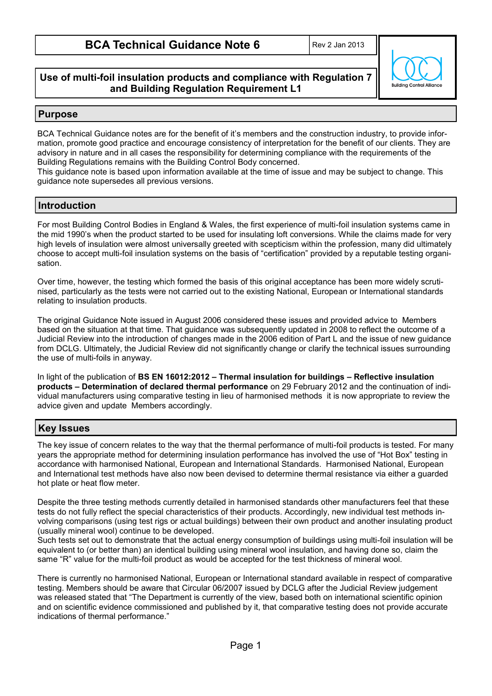**Building Control Allio** 

## **Use of multi-foil insulation products and compliance with Regulation 7 and Building Regulation Requirement L1**

## **Purpose**

BCA Technical Guidance notes are for the benefit of it's members and the construction industry, to provide information, promote good practice and encourage consistency of interpretation for the benefit of our clients. They are advisory in nature and in all cases the responsibility for determining compliance with the requirements of the Building Regulations remains with the Building Control Body concerned.

This guidance note is based upon information available at the time of issue and may be subject to change. This guidance note supersedes all previous versions.

## **Introduction**

For most Building Control Bodies in England & Wales, the first experience of multi-foil insulation systems came in the mid 1990's when the product started to be used for insulating loft conversions. While the claims made for very high levels of insulation were almost universally greeted with scepticism within the profession, many did ultimately choose to accept multi-foil insulation systems on the basis of "certification" provided by a reputable testing organisation.

Over time, however, the testing which formed the basis of this original acceptance has been more widely scrutinised, particularly as the tests were not carried out to the existing National, European or International standards relating to insulation products.

The original Guidance Note issued in August 2006 considered these issues and provided advice to Members based on the situation at that time. That guidance was subsequently updated in 2008 to reflect the outcome of a Judicial Review into the introduction of changes made in the 2006 edition of Part L and the issue of new guidance from DCLG. Ultimately, the Judicial Review did not significantly change or clarify the technical issues surrounding the use of multi-foils in anyway.

In light of the publication of **BS EN 16012:2012 – Thermal insulation for buildings – Reflective insulation products – Determination of declared thermal performance** on 29 February 2012 and the continuation of individual manufacturers using comparative testing in lieu of harmonised methods it is now appropriate to review the advice given and update Members accordingly.

# **Key Issues**

The key issue of concern relates to the way that the thermal performance of multi-foil products is tested. For many years the appropriate method for determining insulation performance has involved the use of "Hot Box" testing in accordance with harmonised National, European and International Standards. Harmonised National, European and International test methods have also now been devised to determine thermal resistance via either a guarded hot plate or heat flow meter.

Despite the three testing methods currently detailed in harmonised standards other manufacturers feel that these tests do not fully reflect the special characteristics of their products. Accordingly, new individual test methods involving comparisons (using test rigs or actual buildings) between their own product and another insulating product (usually mineral wool) continue to be developed.

Such tests set out to demonstrate that the actual energy consumption of buildings using multi-foil insulation will be equivalent to (or better than) an identical building using mineral wool insulation, and having done so, claim the same "R" value for the multi-foil product as would be accepted for the test thickness of mineral wool.

There is currently no harmonised National, European or International standard available in respect of comparative testing. Members should be aware that Circular 06/2007 issued by DCLG after the Judicial Review judgement was released stated that "The Department is currently of the view, based both on international scientific opinion and on scientific evidence commissioned and published by it, that comparative testing does not provide accurate indications of thermal performance."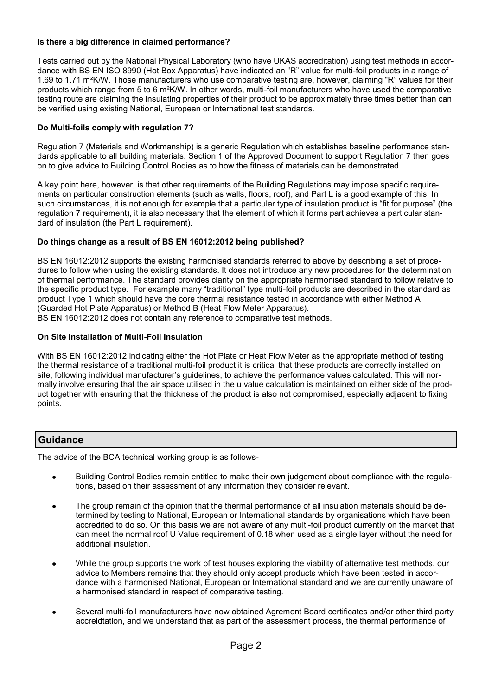#### **Is there a big difference in claimed performance?**

Tests carried out by the National Physical Laboratory (who have UKAS accreditation) using test methods in accordance with BS EN ISO 8990 (Hot Box Apparatus) have indicated an "R" value for multi-foil products in a range of 1.69 to 1.71 m²K/W. Those manufacturers who use comparative testing are, however, claiming "R" values for their products which range from 5 to 6 m²K/W. In other words, multi-foil manufacturers who have used the comparative testing route are claiming the insulating properties of their product to be approximately three times better than can be verified using existing National, European or International test standards.

### **Do Multi-foils comply with regulation 7?**

Regulation 7 (Materials and Workmanship) is a generic Regulation which establishes baseline performance standards applicable to all building materials. Section 1 of the Approved Document to support Regulation 7 then goes on to give advice to Building Control Bodies as to how the fitness of materials can be demonstrated.

A key point here, however, is that other requirements of the Building Regulations may impose specific requirements on particular construction elements (such as walls, floors, roof), and Part L is a good example of this. In such circumstances, it is not enough for example that a particular type of insulation product is "fit for purpose" (the regulation 7 requirement), it is also necessary that the element of which it forms part achieves a particular standard of insulation (the Part L requirement).

#### **Do things change as a result of BS EN 16012:2012 being published?**

BS EN 16012:2012 supports the existing harmonised standards referred to above by describing a set of procedures to follow when using the existing standards. It does not introduce any new procedures for the determination of thermal performance. The standard provides clarity on the appropriate harmonised standard to follow relative to the specific product type. For example many "traditional" type multi-foil products are described in the standard as product Type 1 which should have the core thermal resistance tested in accordance with either Method A (Guarded Hot Plate Apparatus) or Method B (Heat Flow Meter Apparatus). BS EN 16012:2012 does not contain any reference to comparative test methods.

# **On Site Installation of Multi-Foil Insulation**

With BS EN 16012:2012 indicating either the Hot Plate or Heat Flow Meter as the appropriate method of testing the thermal resistance of a traditional multi-foil product it is critical that these products are correctly installed on site, following individual manufacturer's guidelines, to achieve the performance values calculated. This will normally involve ensuring that the air space utilised in the u value calculation is maintained on either side of the product together with ensuring that the thickness of the product is also not compromised, especially adjacent to fixing points.

## **Guidance**

The advice of the BCA technical working group is as follows-

- Building Control Bodies remain entitled to make their own judgement about compliance with the regulations, based on their assessment of any information they consider relevant.
- The group remain of the opinion that the thermal performance of all insulation materials should be determined by testing to National, European or International standards by organisations which have been accredited to do so. On this basis we are not aware of any multi-foil product currently on the market that can meet the normal roof U Value requirement of 0.18 when used as a single layer without the need for additional insulation.
- While the group supports the work of test houses exploring the viability of alternative test methods, our advice to Members remains that they should only accept products which have been tested in accordance with a harmonised National, European or International standard and we are currently unaware of a harmonised standard in respect of comparative testing.
- Several multi-foil manufacturers have now obtained Agrement Board certificates and/or other third party accreidtation, and we understand that as part of the assessment process, the thermal performance of